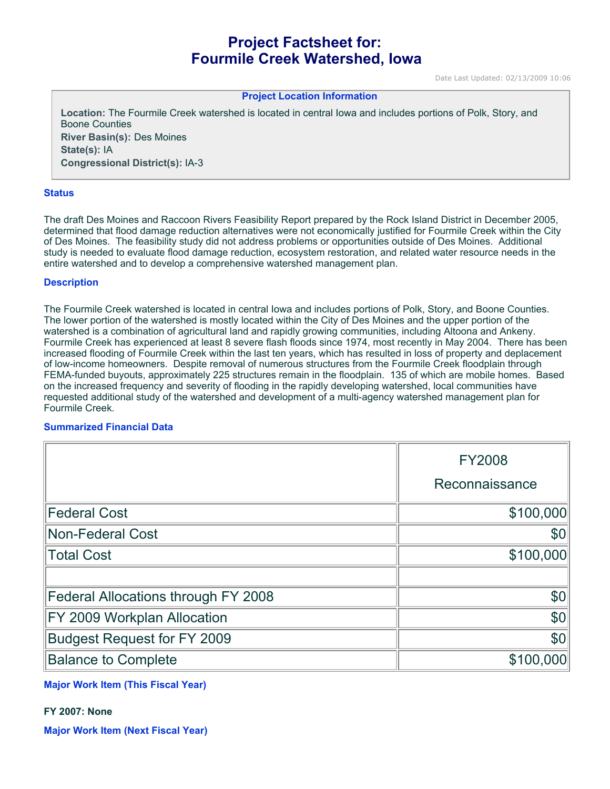# **Project Factsheet for: Fourmile Creek Watershed, Iowa**

Date Last Updated: 02/13/2009 10:06

#### **Project Location Information**

**Location:** The Fourmile Creek watershed is located in central Iowa and includes portions of Polk, Story, and Boone Counties **River Basin(s):** Des Moines **State(s):** IA **Congressional District(s):** IA-3

#### **Status**

The draft Des Moines and Raccoon Rivers Feasibility Report prepared by the Rock Island District in December 2005, determined that flood damage reduction alternatives were not economically justified for Fourmile Creek within the City of Des Moines. The feasibility study did not address problems or opportunities outside of Des Moines. Additional study is needed to evaluate flood damage reduction, ecosystem restoration, and related water resource needs in the entire watershed and to develop a comprehensive watershed management plan.

#### **Description**

The Fourmile Creek watershed is located in central Iowa and includes portions of Polk, Story, and Boone Counties. The lower portion of the watershed is mostly located within the City of Des Moines and the upper portion of the watershed is a combination of agricultural land and rapidly growing communities, including Altoona and Ankeny. Fourmile Creek has experienced at least 8 severe flash floods since 1974, most recently in May 2004. There has been increased flooding of Fourmile Creek within the last ten years, which has resulted in loss of property and deplacement of low-income homeowners. Despite removal of numerous structures from the Fourmile Creek floodplain through FEMA-funded buyouts, approximately 225 structures remain in the floodplain. 135 of which are mobile homes. Based on the increased frequency and severity of flooding in the rapidly developing watershed, local communities have requested additional study of the watershed and development of a multi-agency watershed management plan for Fourmile Creek.

#### **Summarized Financial Data**

|                                     | <b>FY2008</b>  |
|-------------------------------------|----------------|
|                                     | Reconnaissance |
| <b>Federal Cost</b>                 | \$100,000      |
| <b>Non-Federal Cost</b>             | \$0            |
| <b>Total Cost</b>                   | \$100,000      |
|                                     |                |
| Federal Allocations through FY 2008 | \$0            |
| FY 2009 Workplan Allocation         | \$0            |
| <b>Budgest Request for FY 2009</b>  | \$0            |
| <b>Balance to Complete</b>          | \$100,000      |

## **Major Work Item (This Fiscal Year)**

### **FY 2007: None**

**Major Work Item (Next Fiscal Year)**